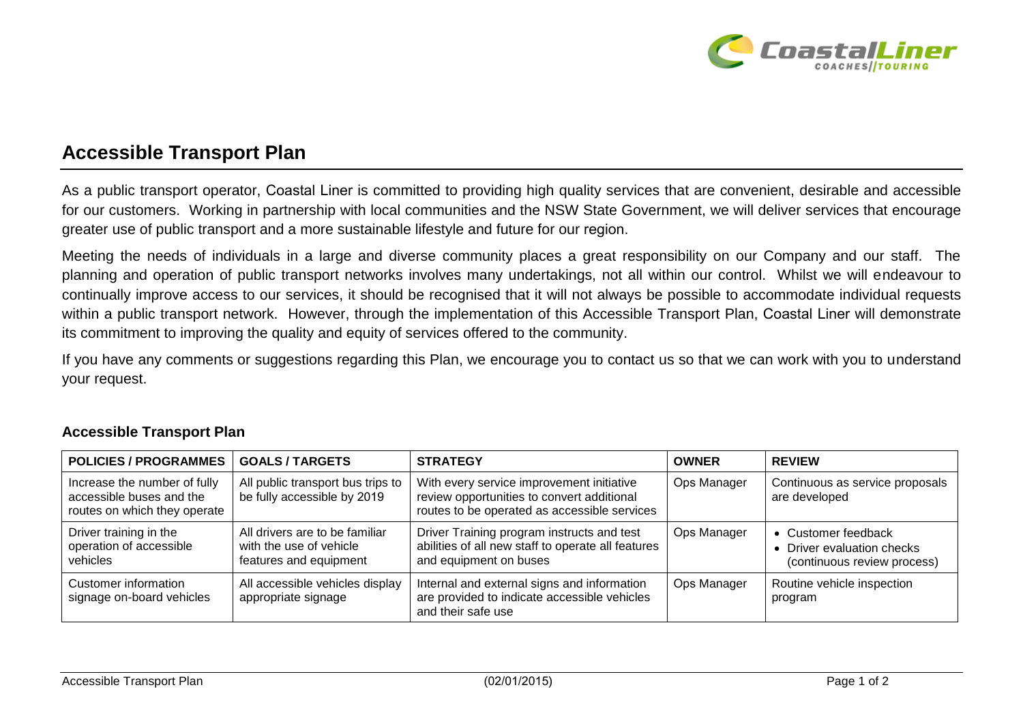

## **Accessible Transport Plan**

As a public transport operator, Coastal Liner is committed to providing high quality services that are convenient, desirable and accessible for our customers. Working in partnership with local communities and the NSW State Government, we will deliver services that encourage greater use of public transport and a more sustainable lifestyle and future for our region.

Meeting the needs of individuals in a large and diverse community places a great responsibility on our Company and our staff. The planning and operation of public transport networks involves many undertakings, not all within our control. Whilst we will endeavour to continually improve access to our services, it should be recognised that it will not always be possible to accommodate individual requests within a public transport network. However, through the implementation of this Accessible Transport Plan, Coastal Liner will demonstrate its commitment to improving the quality and equity of services offered to the community.

If you have any comments or suggestions regarding this Plan, we encourage you to contact us so that we can work with you to understand your request.

| <b>POLICIES / PROGRAMMES</b>                                                             | <b>GOALS/TARGETS</b>                                                                | <b>STRATEGY</b>                                                                                                                         | <b>OWNER</b> | <b>REVIEW</b>                                                                    |
|------------------------------------------------------------------------------------------|-------------------------------------------------------------------------------------|-----------------------------------------------------------------------------------------------------------------------------------------|--------------|----------------------------------------------------------------------------------|
| Increase the number of fully<br>accessible buses and the<br>routes on which they operate | All public transport bus trips to<br>be fully accessible by 2019                    | With every service improvement initiative<br>review opportunities to convert additional<br>routes to be operated as accessible services | Ops Manager  | Continuous as service proposals<br>are developed                                 |
| Driver training in the<br>operation of accessible<br>vehicles                            | All drivers are to be familiar<br>with the use of vehicle<br>features and equipment | Driver Training program instructs and test<br>abilities of all new staff to operate all features<br>and equipment on buses              | Ops Manager  | • Customer feedback<br>• Driver evaluation checks<br>(continuous review process) |
| Customer information<br>signage on-board vehicles                                        | All accessible vehicles display<br>appropriate signage                              | Internal and external signs and information<br>are provided to indicate accessible vehicles<br>and their safe use                       | Ops Manager  | Routine vehicle inspection<br>program                                            |

## **Accessible Transport Plan**